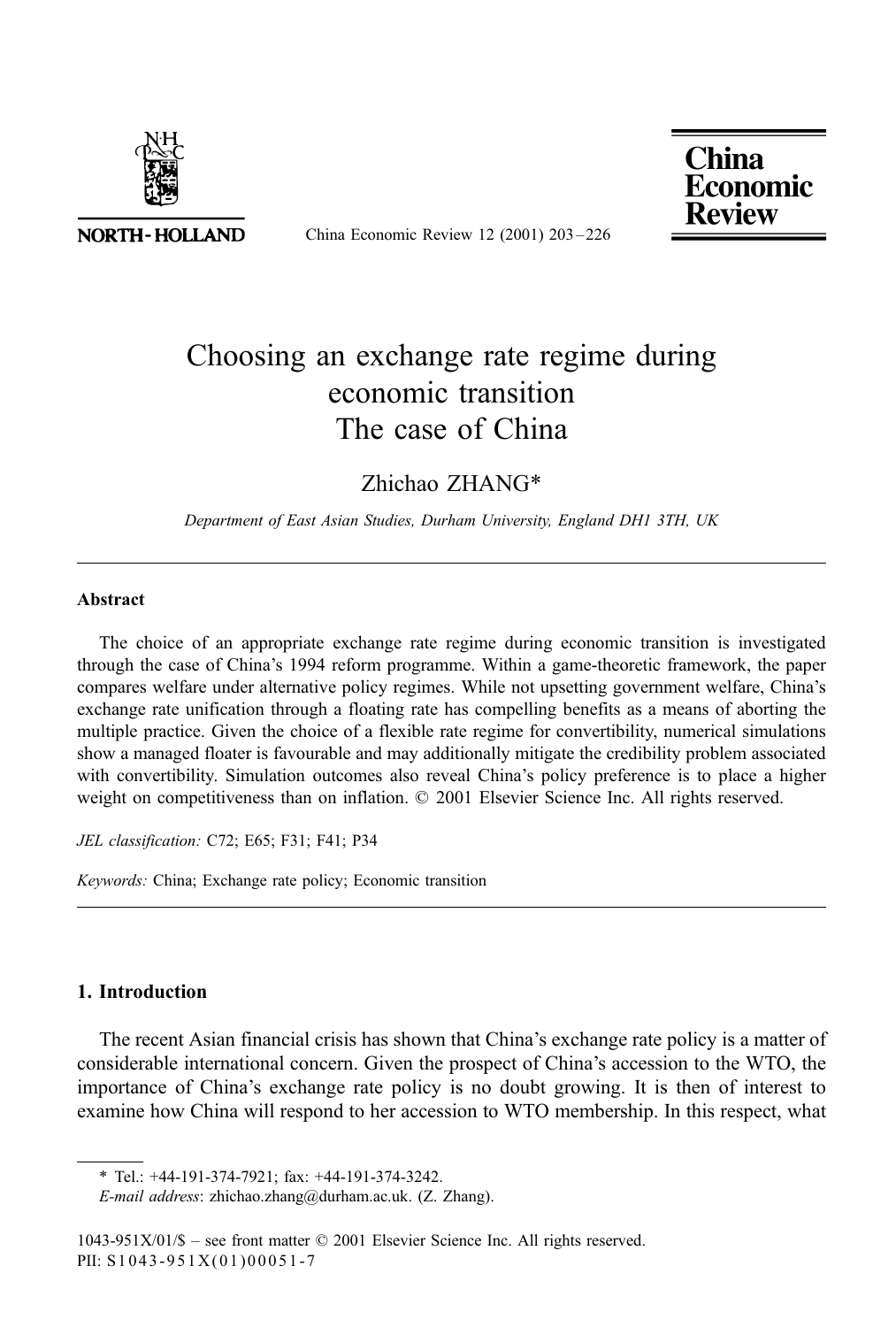

**NORTH-HOLLAND** 

China Economic Review 12 (2001) 203 – 226

# **China** Economic

### Choosing an exchange rate regime during economic transition The case of China

Zhichao ZHANG\*

Department of East Asian Studies, Durham University, England DH1 3TH, UK

#### Abstract

The choice of an appropriate exchange rate regime during economic transition is investigated through the case of China's 1994 reform programme. Within a game-theoretic framework, the paper compares welfare under alternative policy regimes. While not upsetting government welfare, China's exchange rate unification through a floating rate has compelling benefits as a means of aborting the multiple practice. Given the choice of a flexible rate regime for convertibility, numerical simulations show a managed floater is favourable and may additionally mitigate the credibility problem associated with convertibility. Simulation outcomes also reveal China's policy preference is to place a higher weight on competitiveness than on inflation.  $\oslash$  2001 Elsevier Science Inc. All rights reserved.

JEL classification: C72; E65; F31; F41; P34

Keywords: China; Exchange rate policy; Economic transition

### 1. Introduction

The recent Asian financial crisis has shown that China's exchange rate policy is a matter of considerable international concern. Given the prospect of China's accession to the WTO, the importance of China's exchange rate policy is no doubt growing. It is then of interest to examine how China will respond to her accession to WTO membership. In this respect, what

E-mail address: zhichao.zhang@durham.ac.uk. (Z. Zhang).

<sup>\*</sup> Tel.: +44-191-374-7921; fax: +44-191-374-3242.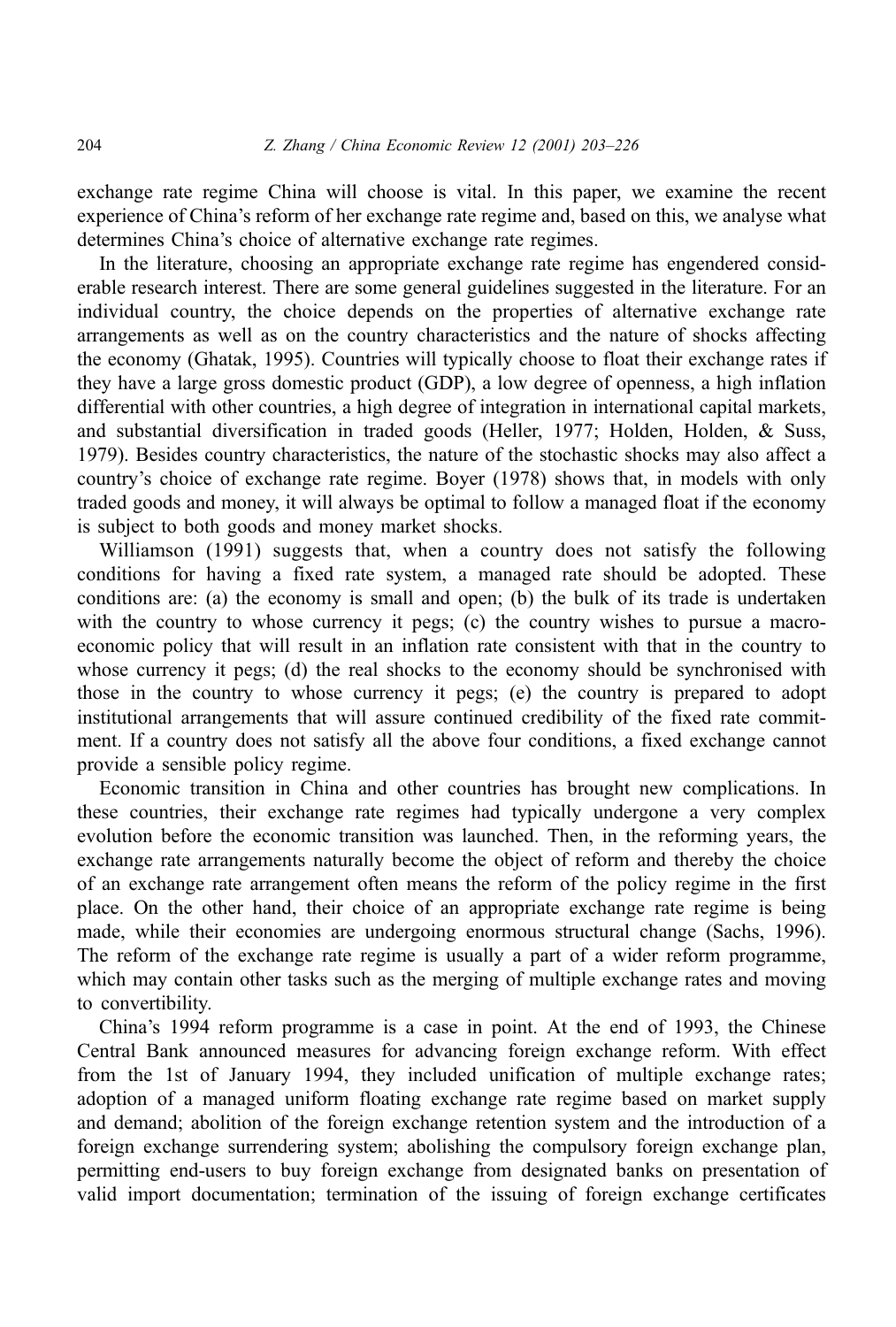exchange rate regime China will choose is vital. In this paper, we examine the recent experience of China's reform of her exchange rate regime and, based on this, we analyse what determines China's choice of alternative exchange rate regimes.

In the literature, choosing an appropriate exchange rate regime has engendered considerable research interest. There are some general guidelines suggested in the literature. For an individual country, the choice depends on the properties of alternative exchange rate arrangements as well as on the country characteristics and the nature of shocks affecting the economy (Ghatak, 1995). Countries will typically choose to float their exchange rates if they have a large gross domestic product (GDP), a low degree of openness, a high inflation differential with other countries, a high degree of integration in international capital markets, and substantial diversification in traded goods (Heller, 1977; Holden, Holden, & Suss, 1979). Besides country characteristics, the nature of the stochastic shocks may also affect a country's choice of exchange rate regime. Boyer (1978) shows that, in models with only traded goods and money, it will always be optimal to follow a managed float if the economy is subject to both goods and money market shocks.

Williamson (1991) suggests that, when a country does not satisfy the following conditions for having a fixed rate system, a managed rate should be adopted. These conditions are: (a) the economy is small and open; (b) the bulk of its trade is undertaken with the country to whose currency it pegs; (c) the country wishes to pursue a macroeconomic policy that will result in an inflation rate consistent with that in the country to whose currency it pegs; (d) the real shocks to the economy should be synchronised with those in the country to whose currency it pegs; (e) the country is prepared to adopt institutional arrangements that will assure continued credibility of the fixed rate commitment. If a country does not satisfy all the above four conditions, a fixed exchange cannot provide a sensible policy regime.

Economic transition in China and other countries has brought new complications. In these countries, their exchange rate regimes had typically undergone a very complex evolution before the economic transition was launched. Then, in the reforming years, the exchange rate arrangements naturally become the object of reform and thereby the choice of an exchange rate arrangement often means the reform of the policy regime in the first place. On the other hand, their choice of an appropriate exchange rate regime is being made, while their economies are undergoing enormous structural change (Sachs, 1996). The reform of the exchange rate regime is usually a part of a wider reform programme, which may contain other tasks such as the merging of multiple exchange rates and moving to convertibility.

China's 1994 reform programme is a case in point. At the end of 1993, the Chinese Central Bank announced measures for advancing foreign exchange reform. With effect from the 1st of January 1994, they included unification of multiple exchange rates; adoption of a managed uniform floating exchange rate regime based on market supply and demand; abolition of the foreign exchange retention system and the introduction of a foreign exchange surrendering system; abolishing the compulsory foreign exchange plan, permitting end-users to buy foreign exchange from designated banks on presentation of valid import documentation; termination of the issuing of foreign exchange certificates